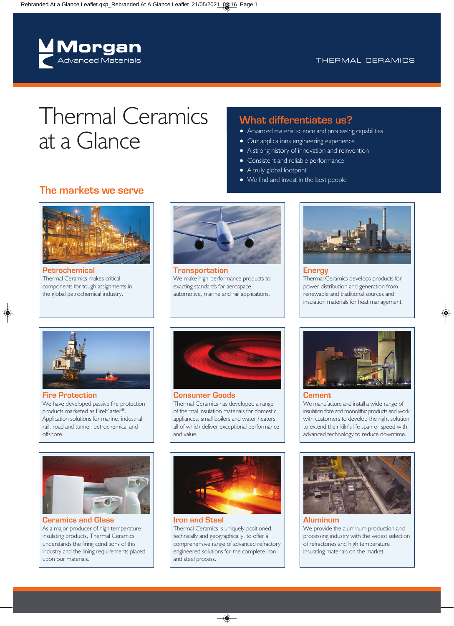

# Thermal Ceramics at a Glance

## **The markets we serve**



**Petrochemical** Thermal Ceramics makes critical components for tough assignments in the global petrochemical industry.



**Transportation** We make high-performance products to exacting standards for aerospace, automotive, marine and rail applications.



**Energy** Thermal Ceramics develops products for power distribution and generation from renewable and traditional sources and insulation materials for heat management.



## **Fire Protection**

We have developed passive fire protection products marketed as FireMaster®. Application solutions for marine, industrial, rail, road and tunnel, petrochemical and offshore.



**Consumer Goods** Thermal Ceramics has developed a range of thermal insulation materials for domestic appliances, small boilers and water heaters all of which deliver exceptional performance and value.



**Ceramics and Glass** As a major producer of high temperature insulating products, Thermal Ceramics understands the firing conditions of this industry and the lining requirements placed upon our materials.



**Iron and Steel** Thermal Ceramics is uniquely positioned, technically and geographically, to offer a comprehensive range of advanced refractory engineered solutions for the complete iron and steel process.



#### **Cement**

**What differentiates us?**

● Our applications engineering experience ● A strong history of innovation and reinvention

● Consistent and reliable performance

● We find and invest in the best people

● A truly global footprint

● Advanced material science and processing capabilities

We manufacture and install a wide range of insulation fibre and monolithic products and work with customers to develop the right solution to extend their kiln's life span or speed with advanced technology to reduce downtime.



#### **Aluminum**

We provide the aluminum production and processing industry with the widest selection of refractories and high temperature insulating materials on the market.